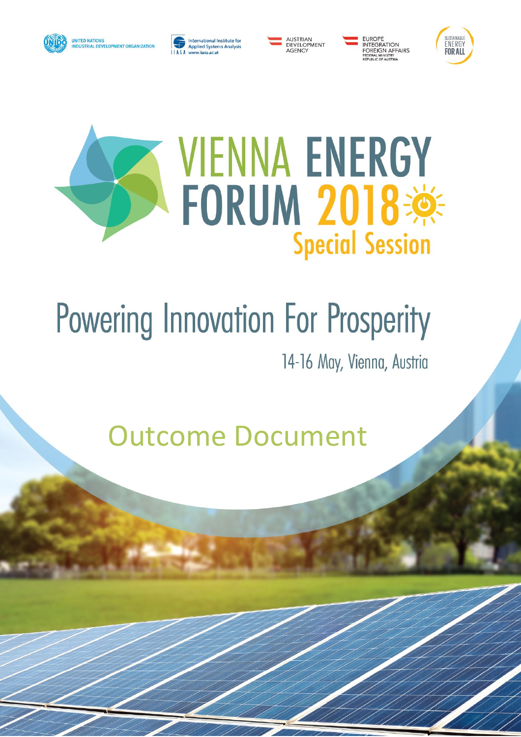







INTEGRATION FOREIGN AFFAIRS<br>FEDERAL MINISTRY<br>REPUBLIC OF AUSTRIA



# **VIENNA ENERGY FORUM 2018 \*\* Special Session**

# **Powering Innovation For Prosperity**

14-16 May, Vienna, Austria

**Outcome Document**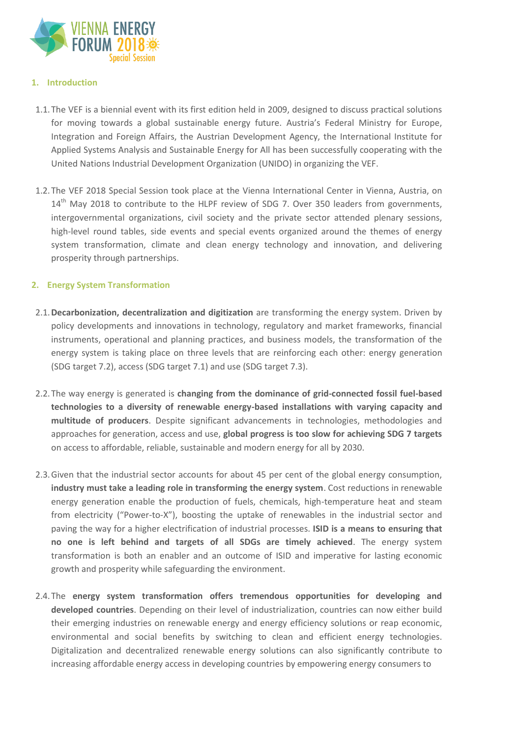

### **1. Introduction**

- 1.1.The VEF is a biennial event with its first edition held in 2009, designed to discuss practical solutions for moving towards a global sustainable energy future. Austria's Federal Ministry for Europe, Integration and Foreign Affairs, the Austrian Development Agency, the International Institute for Applied Systems Analysis and Sustainable Energy for All has been successfully cooperating with the United Nations Industrial Development Organization (UNIDO) in organizing the VEF.
- 1.2.The VEF 2018 Special Session took place at the Vienna International Center in Vienna, Austria, on 14<sup>th</sup> May 2018 to contribute to the HLPF review of SDG 7. Over 350 leaders from governments, intergovernmental organizations, civil society and the private sector attended plenary sessions, high-level round tables, side events and special events organized around the themes of energy system transformation, climate and clean energy technology and innovation, and delivering prosperity through partnerships.

# **2. Energy System Transformation**

- 2.1.**Decarbonization, decentralization and digitization** are transforming the energy system. Driven by policy developments and innovations in technology, regulatory and market frameworks, financial instruments, operational and planning practices, and business models, the transformation of the energy system is taking place on three levels that are reinforcing each other: energy generation (SDG target 7.2), access (SDG target 7.1) and use (SDG target 7.3).
- 2.2.The way energy is generated is **changing from the dominance of grid-connected fossil fuel-based technologies to a diversity of renewable energy-based installations with varying capacity and multitude of producers**. Despite significant advancements in technologies, methodologies and approaches for generation, access and use, **global progress is too slow for achieving SDG 7 targets**  on access to affordable, reliable, sustainable and modern energy for all by 2030.
- 2.3.Given that the industrial sector accounts for about 45 per cent of the global energy consumption, **industry must take a leading role in transforming the energy system**. Cost reductions in renewable energy generation enable the production of fuels, chemicals, high-temperature heat and steam from electricity ("Power-to-X"), boosting the uptake of renewables in the industrial sector and paving the way for a higher electrification of industrial processes. **ISID is a means to ensuring that no one is left behind and targets of all SDGs are timely achieved**. The energy system transformation is both an enabler and an outcome of ISID and imperative for lasting economic growth and prosperity while safeguarding the environment.
- 2.4.The **energy system transformation offers tremendous opportunities for developing and developed countries**. Depending on their level of industrialization, countries can now either build their emerging industries on renewable energy and energy efficiency solutions or reap economic, environmental and social benefits by switching to clean and efficient energy technologies. Digitalization and decentralized renewable energy solutions can also significantly contribute to increasing affordable energy access in developing countries by empowering energy consumers to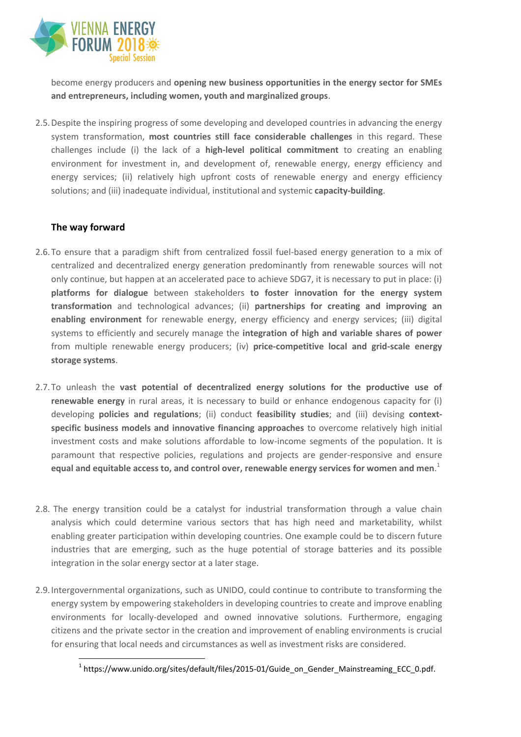

become energy producers and **opening new business opportunities in the energy sector for SMEs and entrepreneurs, including women, youth and marginalized groups**.

2.5.Despite the inspiring progress of some developing and developed countries in advancing the energy system transformation, **most countries still face considerable challenges** in this regard. These challenges include (i) the lack of a **high-level political commitment** to creating an enabling environment for investment in, and development of, renewable energy, energy efficiency and energy services; (ii) relatively high upfront costs of renewable energy and energy efficiency solutions; and (iii) inadequate individual, institutional and systemic **capacity-building**.

## **The way forward**

- 2.6.To ensure that a paradigm shift from centralized fossil fuel-based energy generation to a mix of centralized and decentralized energy generation predominantly from renewable sources will not only continue, but happen at an accelerated pace to achieve SDG7, it is necessary to put in place: (i) **platforms for dialogue** between stakeholders **to foster innovation for the energy system transformation** and technological advances; (ii) **partnerships for creating and improving an enabling environment** for renewable energy, energy efficiency and energy services; (iii) digital systems to efficiently and securely manage the **integration of high and variable shares of power** from multiple renewable energy producers; (iv) **price-competitive local and grid-scale energy storage systems**.
- 2.7.To unleash the **vast potential of decentralized energy solutions for the productive use of renewable energy** in rural areas, it is necessary to build or enhance endogenous capacity for (i) developing **policies and regulations**; (ii) conduct **feasibility studies**; and (iii) devising **contextspecific business models and innovative financing approaches** to overcome relatively high initial investment costs and make solutions affordable to low-income segments of the population. It is paramount that respective policies, regulations and projects are gender-responsive and ensure **equal and equitable access to, and control over, renewable energy services for women and men**. 1
- 2.8. The energy transition could be a catalyst for industrial transformation through a value chain analysis which could determine various sectors that has high need and marketability, whilst enabling greater participation within developing countries. One example could be to discern future industries that are emerging, such as the huge potential of storage batteries and its possible integration in the solar energy sector at a later stage.
- 2.9.Intergovernmental organizations, such as UNIDO, could continue to contribute to transforming the energy system by empowering stakeholders in developing countries to create and improve enabling environments for locally-developed and owned innovative solutions. Furthermore, engaging citizens and the private sector in the creation and improvement of enabling environments is crucial for ensuring that local needs and circumstances as well as investment risks are considered.

 $\overline{a}$ <sup>1</sup> https://www.unido.org/sites/default/files/2015-01/Guide\_on\_Gender\_Mainstreaming\_ECC\_0.pdf.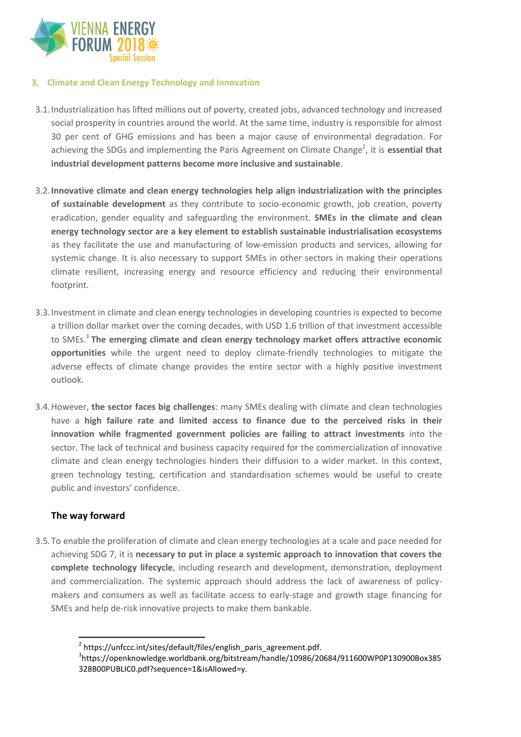

### **3. Climate and Clean Energy Technology and Innovation**

- 3.1.Industrialization has lifted millions out of poverty, created jobs, advanced technology and increased social prosperity in countries around the world. At the same time, industry is responsible for almost 30 per cent of GHG emissions and has been a major cause of environmental degradation. For achieving the SDGs and implementing the Paris Agreement on Climate Change<sup>2</sup>, it is **essential that industrial development patterns become more inclusive and sustainable**.
- 3.2.**Innovative climate and clean energy technologies help align industrialization with the principles of sustainable development** as they contribute to socio-economic growth, job creation, poverty eradication, gender equality and safeguarding the environment. **SMEs in the climate and clean energy technology sector are a key element to establish sustainable industrialisation ecosystems**  as they facilitate the use and manufacturing of low-emission products and services, allowing for systemic change. It is also necessary to support SMEs in other sectors in making their operations climate resilient, increasing energy and resource efficiency and reducing their environmental footprint.
- 3.3.Investment in climate and clean energy technologies in developing countries is expected to become a trillion dollar market over the coming decades, with USD 1.6 trillion of that investment accessible to SMEs.<sup>3</sup> **The emerging climate and clean energy technology market offers attractive economic opportunities** while the urgent need to deploy climate-friendly technologies to mitigate the adverse effects of climate change provides the entire sector with a highly positive investment outlook.
- 3.4.However, **the sector faces big challenges**: many SMEs dealing with climate and clean technologies have a **high failure rate and limited access to finance due to the perceived risks in their innovation while fragmented government policies are failing to attract investments** into the sector. The lack of technical and business capacity required for the commercialization of innovative climate and clean energy technologies hinders their diffusion to a wider market. In this context, green technology testing, certification and standardisation schemes would be useful to create public and investors' confidence.

# **The way forward**

 $\overline{a}$ 

3.5.To enable the proliferation of climate and clean energy technologies at a scale and pace needed for achieving SDG 7, it is **necessary to put in place a systemic approach to innovation that covers the complete technology lifecycle**, including research and development, demonstration, deployment and commercialization. The systemic approach should address the lack of awareness of policymakers and consumers as well as facilitate access to early-stage and growth stage financing for SMEs and help de-risk innovative projects to make them bankable.

<sup>&</sup>lt;sup>2</sup> https://unfccc.int/sites/default/files/english\_paris\_agreement.pdf.

<sup>3</sup> https://openknowledge.worldbank.org/bitstream/handle/10986/20684/911600WP0P130900Box385 328B00PUBLIC0.pdf?sequence=1&isAllowed=y.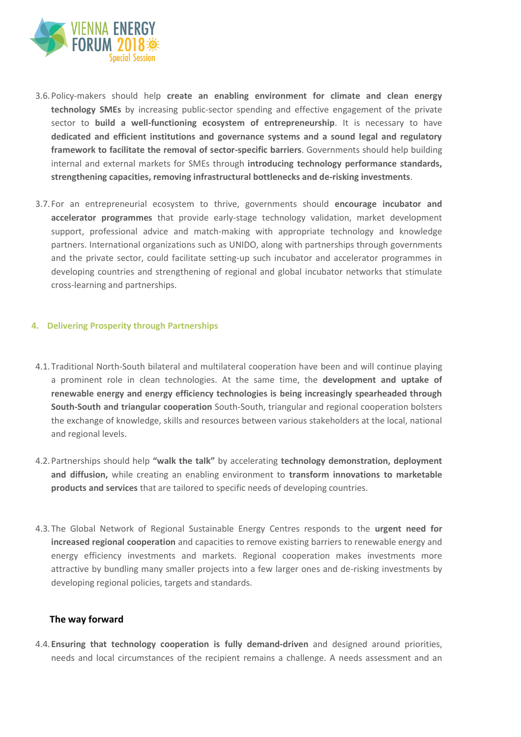

- 3.6.Policy-makers should help **create an enabling environment for climate and clean energy technology SMEs** by increasing public-sector spending and effective engagement of the private sector to **build a well-functioning ecosystem of entrepreneurship**. It is necessary to have **dedicated and efficient institutions and governance systems and a sound legal and regulatory framework to facilitate the removal of sector-specific barriers**. Governments should help building internal and external markets for SMEs through **introducing technology performance standards, strengthening capacities, removing infrastructural bottlenecks and de-risking investments**.
- 3.7.For an entrepreneurial ecosystem to thrive, governments should **encourage incubator and accelerator programmes** that provide early-stage technology validation, market development support, professional advice and match-making with appropriate technology and knowledge partners. International organizations such as UNIDO, along with partnerships through governments and the private sector, could facilitate setting-up such incubator and accelerator programmes in developing countries and strengthening of regional and global incubator networks that stimulate cross-learning and partnerships.

#### **4. Delivering Prosperity through Partnerships**

- 4.1.Traditional North-South bilateral and multilateral cooperation have been and will continue playing a prominent role in clean technologies. At the same time, the **development and uptake of renewable energy and energy efficiency technologies is being increasingly spearheaded through South-South and triangular cooperation** South-South, triangular and regional cooperation bolsters the exchange of knowledge, skills and resources between various stakeholders at the local, national and regional levels.
- 4.2.Partnerships should help **"walk the talk"** by accelerating **technology demonstration, deployment and diffusion,** while creating an enabling environment to **transform innovations to marketable products and services** that are tailored to specific needs of developing countries.
- 4.3.The Global Network of Regional Sustainable Energy Centres responds to the **urgent need for increased regional cooperation** and capacities to remove existing barriers to renewable energy and energy efficiency investments and markets. Regional cooperation makes investments more attractive by bundling many smaller projects into a few larger ones and de-risking investments by developing regional policies, targets and standards.

#### **The way forward**

4.4.**Ensuring that technology cooperation is fully demand-driven** and designed around priorities, needs and local circumstances of the recipient remains a challenge. A needs assessment and an